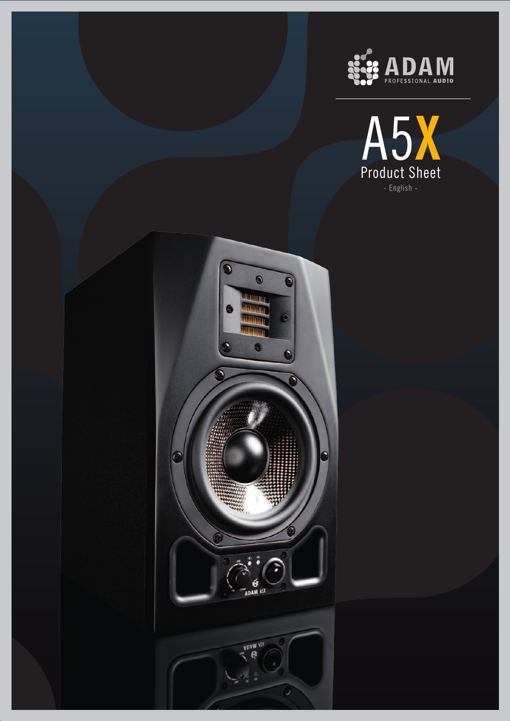